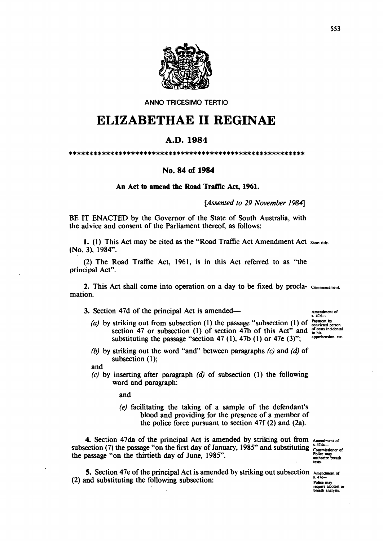

ANNO TRICESIMO TERTIO

## ELIZABETHAE **11** REGINAE

## A.D.1984

\*\*\*\*\*\*\*\*\*\*\*\*\*\*\*\*\*\*\*\*\*\*\*\*\*\*\*\*\*\*\*\*\*\*\*\*\*\*\*\*\*\*\*\*\*\*\*\*\*\*\*\*\*\*\*\*\*

## No. 84 of 1984

An Act to amend the Road Traffic Act, 1961.

[Assented to 29 November 1984]

BE IT ENACTED by the Governor of the State of South Australia, with the advice and consent of the Parliament thereof, as follows:

1. (1) This Act may be cited as the "Road Traffic Act Amendment Act Short title. (No. 3), 1984".

(2) The Road Traffic Act, 1961, is in this Act referred to as "the principal Act".

2. This Act shall come into operation on a day to be fixed by procla- commencement. mation.

3. Section 47d of the principal Act is amended—

Amendment of<br>s. 47d---<br>Payment by (a) by striking out from subsection (1) the passage "subsection (1) of striking out from subsection (1) the passage "subsection (1) or convided person<br>section 47 or subsection (1) of section 47b of this Act" and  $_{60}^{6}$  to his<br>substituting the passage "section 47.(1) 47b (1) or 47a (2)". substituting the passage "section 47 (1), 47b (1) or 47e (3)";

(b) by striking out the word "and" between paragraphs  $(c)$  and  $(d)$  of subsection (I);

and

*(e)* by inserting after paragraph *(d)* of subsection (1) the following word and paragraph:

and

(e) facilitating the taking of a sample of the defendant's blood and providing for the presence of a member of the police force pursuant to section 47f (2) and (2a).

4. Section 47da of the principal Act is amended by striking out from  $A_{\text{mendment of}}$ subsection (7) the passage "on the first day of January, 1985" and substituting  $\frac{x \cdot 960 - x}{\text{Commissioner of}}$ the passage "on the thirtieth day of June, 1985".

Commissioner<br>Police may<br>authorize breath<br>tests.

5. Section 47e of the principal Act is amended by striking out subsection  $A_{\text{nendment of}}$ (2) and substituting the following subsection:  $\frac{1}{\text{Polic } \text{maj}}$ 

require aicotest or breath analysis.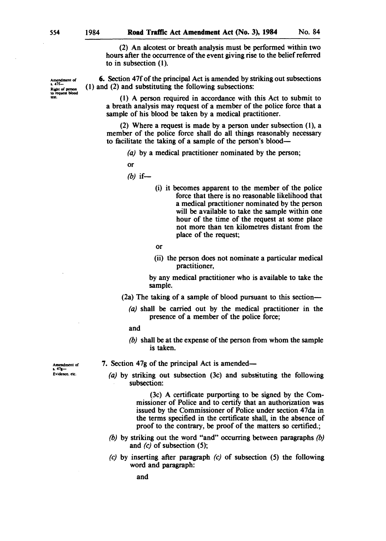Amendment of<br>s. 47f-Right of person<br>to request blood<br>test.

(2) An alcotest or breath analysis must be performed within two hours after the occurrence of the event giving rise to the belief referred to in subsection (1).

6. Section 47f of the principal Act is amended by striking out subsections (1) and (2) and substituting the following subsections:

(1) A person required in accordance with this Act to submit to a breath analysis may request of a member of the police force that a sample of his blood be taken by a medical practitioner.

(2) Where a request is made by a person under subsection (1), a member of the police force shall do all things reasonably necessary to facilitate the taking of a sample of the person's blood-

(a) by a medical practitioner nominated by the person;

or

- $(b)$  if-
- (i) it becomes apparent to the member of the police force that there is no reasonable likelihood that a medical practitioner nominated by the person will be available to take the sample within one hour of the time of the request at some place not more than ten kilometres distant from the place of the request;

or

(ii) the person does not nominate a particular medical practitioner,

by any medical practitioner who is available to take the sample.

- (2a) The taking of a sample of blood pursuant to this section-
	- (a) shall be carried out by the medical practitioner in the presence of a member of the police force;
	- and
	- *(b)* shall be at the expense of the person from whom the sample is taken.

Amendment of<br>s. 47g-Evidence. ek:.

- 7. Section 47g of the principal Act is amended-
	- (a) by striking out subsection (3c) and substituting the following subsection:

(3c) A certificate purporting to be signed by the Commissioner of Police and to certify that an authorization was issued by the Commissioner of Police under section 47da in the terms specified in the certificate shall, in the absence of proof to the contrary, be proof of the matters so certified.;

- *(b)* by striking out the word "and" occurring between paragraphs *(b)*  and  $(c)$  of subsection  $(5)$ ;
- *(e)* by inserting after paragraph *(e)* of subsection (5) the following word and paragraph:

and